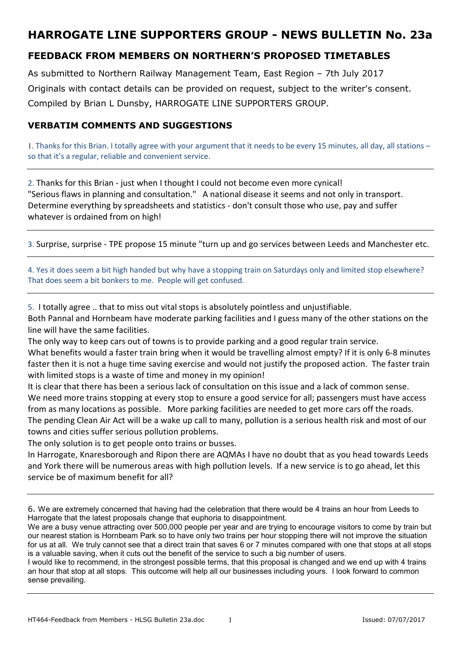#### **FEEDBACK FROM MEMBERS ON NORTHERN'S PROPOSED TIMETABLES**

As submitted to Northern Railway Management Team, East Region – 7th July 2017 Originals with contact details can be provided on request, subject to the writer's consent. Compiled by Brian L Dunsby, HARROGATE LINE SUPPORTERS GROUP.

#### **VERBATIM COMMENTS AND SUGGESTIONS**

1. Thanks for this Brian. I totally agree with your argument that it needs to be every 15 minutes, all day, all stations – so that it's a regular, reliable and convenient service.

2. Thanks for this Brian - just when I thought I could not become even more cynical! "Serious flaws in planning and consultation." A national disease it seems and not only in transport. Determine everything by spreadsheets and statistics - don't consult those who use, pay and suffer whatever is ordained from on high!

3. Surprise, surprise - TPE propose 15 minute "turn up and go services between Leeds and Manchester etc.

4. Yes it does seem a bit high handed but why have a stopping train on Saturdays only and limited stop elsewhere? That does seem a bit bonkers to me. People will get confused.

5. I totally agree .. that to miss out vital stops is absolutely pointless and unjustifiable.

Both Pannal and Hornbeam have moderate parking facilities and I guess many of the other stations on the line will have the same facilities.

The only way to keep cars out of towns is to provide parking and a good regular train service.

What benefits would a faster train bring when it would be travelling almost empty? If it is only 6-8 minutes faster then it is not a huge time saving exercise and would not justify the proposed action. The faster train with limited stops is a waste of time and money in my opinion!

It is clear that there has been a serious lack of consultation on this issue and a lack of common sense. We need more trains stopping at every stop to ensure a good service for all; passengers must have access from as many locations as possible. More parking facilities are needed to get more cars off the roads. The pending Clean Air Act will be a wake up call to many, pollution is a serious health risk and most of our towns and cities suffer serious pollution problems.

The only solution is to get people onto trains or busses.

In Harrogate, Knaresborough and Ripon there are AQMAs I have no doubt that as you head towards Leeds and York there will be numerous areas with high pollution levels. If a new service is to go ahead, let this service be of maximum benefit for all?

I would like to recommend, in the strongest possible terms, that this proposal is changed and we end up with 4 trains an hour that stop at all stops. This outcome will help all our businesses including yours. I look forward to common sense prevailing.

<sup>6.</sup> We are extremely concerned that having had the celebration that there would be 4 trains an hour from Leeds to Harrogate that the latest proposals change that euphoria to disappointment.

We are a busy venue attracting over 500,000 people per year and are trying to encourage visitors to come by train but our nearest station is Hornbeam Park so to have only two trains per hour stopping there will not improve the situation for us at all. We truly cannot see that a direct train that saves 6 or 7 minutes compared with one that stops at all stops is a valuable saving, when it cuts out the benefit of the service to such a big number of users.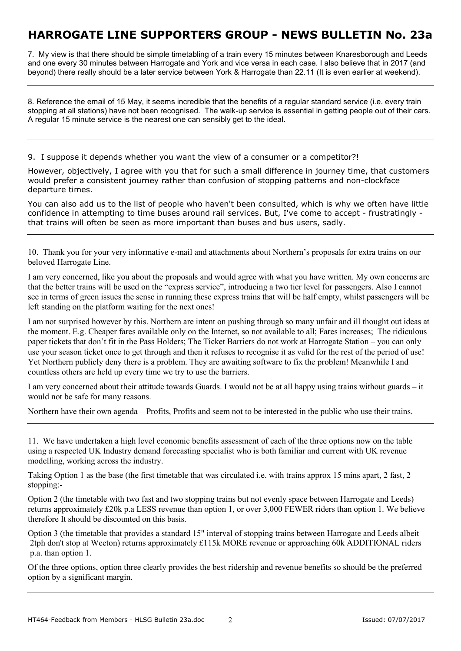7. My view is that there should be simple timetabling of a train every 15 minutes between Knaresborough and Leeds and one every 30 minutes between Harrogate and York and vice versa in each case. I also believe that in 2017 (and beyond) there really should be a later service between York & Harrogate than 22.11 (It is even earlier at weekend).

8. Reference the email of 15 May, it seems incredible that the benefits of a regular standard service (i.e. every train stopping at all stations) have not been recognised. The walk-up service is essential in getting people out of their cars. A regular 15 minute service is the nearest one can sensibly get to the ideal.

9. I suppose it depends whether you want the view of a consumer or a competitor?!

However, objectively, I agree with you that for such a small difference in journey time, that customers would prefer a consistent journey rather than confusion of stopping patterns and non-clockface departure times.

You can also add us to the list of people who haven't been consulted, which is why we often have little confidence in attempting to time buses around rail services. But, I've come to accept - frustratingly that trains will often be seen as more important than buses and bus users, sadly.

10. Thank you for your very informative e-mail and attachments about Northern's proposals for extra trains on our beloved Harrogate Line.

I am very concerned, like you about the proposals and would agree with what you have written. My own concerns are that the better trains will be used on the "express service", introducing a two tier level for passengers. Also I cannot see in terms of green issues the sense in running these express trains that will be half empty, whilst passengers will be left standing on the platform waiting for the next ones!

I am not surprised however by this. Northern are intent on pushing through so many unfair and ill thought out ideas at the moment. E.g. Cheaper fares available only on the Internet, so not available to all; Fares increases; The ridiculous paper tickets that don't fit in the Pass Holders; The Ticket Barriers do not work at Harrogate Station – you can only use your season ticket once to get through and then it refuses to recognise it as valid for the rest of the period of use! Yet Northern publicly deny there is a problem. They are awaiting software to fix the problem! Meanwhile I and countless others are held up every time we try to use the barriers.

I am very concerned about their attitude towards Guards. I would not be at all happy using trains without guards – it would not be safe for many reasons.

Northern have their own agenda – Profits, Profits and seem not to be interested in the public who use their trains.

11. We have undertaken a high level economic benefits assessment of each of the three options now on the table using a respected UK Industry demand forecasting specialist who is both familiar and current with UK revenue modelling, working across the industry.

Taking Option 1 as the base (the first timetable that was circulated i.e. with trains approx 15 mins apart, 2 fast, 2 stopping:-

Option 2 (the timetable with two fast and two stopping trains but not evenly space between Harrogate and Leeds) returns approximately £20k p.a LESS revenue than option 1, or over 3,000 FEWER riders than option 1. We believe therefore It should be discounted on this basis.

Option 3 (the timetable that provides a standard 15" interval of stopping trains between Harrogate and Leeds albeit 2tph don't stop at Weeton) returns approximately £115k MORE revenue or approaching 60k ADDITIONAL riders p.a. than option 1.

Of the three options, option three clearly provides the best ridership and revenue benefits so should be the preferred option by a significant margin.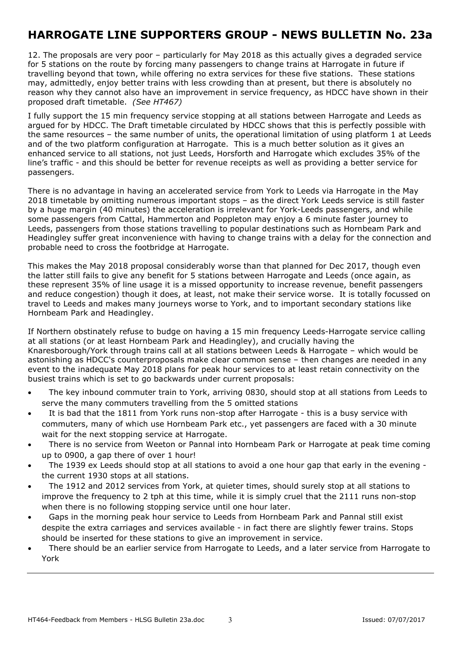12. The proposals are very poor – particularly for May 2018 as this actually gives a degraded service for 5 stations on the route by forcing many passengers to change trains at Harrogate in future if travelling beyond that town, while offering no extra services for these five stations. These stations may, admittedly, enjoy better trains with less crowding than at present, but there is absolutely no reason why they cannot also have an improvement in service frequency, as HDCC have shown in their proposed draft timetable. *(See HT467)*

I fully support the 15 min frequency service stopping at all stations between Harrogate and Leeds as argued for by HDCC. The Draft timetable circulated by HDCC shows that this is perfectly possible with the same resources – the same number of units, the operational limitation of using platform 1 at Leeds and of the two platform configuration at Harrogate. This is a much better solution as it gives an enhanced service to all stations, not just Leeds, Horsforth and Harrogate which excludes 35% of the line's traffic - and this should be better for revenue receipts as well as providing a better service for passengers.

There is no advantage in having an accelerated service from York to Leeds via Harrogate in the May 2018 timetable by omitting numerous important stops – as the direct York Leeds service is still faster by a huge margin (40 minutes) the acceleration is irrelevant for York-Leeds passengers, and while some passengers from Cattal, Hammerton and Poppleton may enjoy a 6 minute faster journey to Leeds, passengers from those stations travelling to popular destinations such as Hornbeam Park and Headingley suffer great inconvenience with having to change trains with a delay for the connection and probable need to cross the footbridge at Harrogate.

This makes the May 2018 proposal considerably worse than that planned for Dec 2017, though even the latter still fails to give any benefit for 5 stations between Harrogate and Leeds (once again, as these represent 35% of line usage it is a missed opportunity to increase revenue, benefit passengers and reduce congestion) though it does, at least, not make their service worse. It is totally focussed on travel to Leeds and makes many journeys worse to York, and to important secondary stations like Hornbeam Park and Headingley.

If Northern obstinately refuse to budge on having a 15 min frequency Leeds-Harrogate service calling at all stations (or at least Hornbeam Park and Headingley), and crucially having the Knaresborough/York through trains call at all stations between Leeds & Harrogate – which would be astonishing as HDCC's counterproposals make clear common sense – then changes are needed in any event to the inadequate May 2018 plans for peak hour services to at least retain connectivity on the busiest trains which is set to go backwards under current proposals:

- The key inbound commuter train to York, arriving 0830, should stop at all stations from Leeds to serve the many commuters travelling from the 5 omitted stations
- It is bad that the 1811 from York runs non-stop after Harrogate this is a busy service with commuters, many of which use Hornbeam Park etc., yet passengers are faced with a 30 minute wait for the next stopping service at Harrogate.
- There is no service from Weeton or Pannal into Hornbeam Park or Harrogate at peak time coming up to 0900, a gap there of over 1 hour!
- The 1939 ex Leeds should stop at all stations to avoid a one hour gap that early in the evening the current 1930 stops at all stations.
- The 1912 and 2012 services from York, at quieter times, should surely stop at all stations to improve the frequency to 2 tph at this time, while it is simply cruel that the 2111 runs non-stop when there is no following stopping service until one hour later.
- Gaps in the morning peak hour service to Leeds from Hornbeam Park and Pannal still exist despite the extra carriages and services available - in fact there are slightly fewer trains. Stops should be inserted for these stations to give an improvement in service.
- There should be an earlier service from Harrogate to Leeds, and a later service from Harrogate to York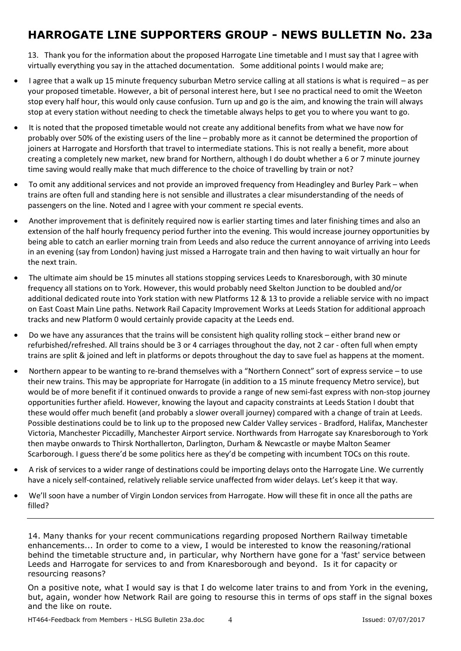13. Thank you for the information about the proposed Harrogate Line timetable and I must say that I agree with virtually everything you say in the attached documentation. Some additional points I would make are;

- I agree that a walk up 15 minute frequency suburban Metro service calling at all stations is what is required as per your proposed timetable. However, a bit of personal interest here, but I see no practical need to omit the Weeton stop every half hour, this would only cause confusion. Turn up and go is the aim, and knowing the train will always stop at every station without needing to check the timetable always helps to get you to where you want to go.
- It is noted that the proposed timetable would not create any additional benefits from what we have now for probably over 50% of the existing users of the line – probably more as it cannot be determined the proportion of joiners at Harrogate and Horsforth that travel to intermediate stations. This is not really a benefit, more about creating a completely new market, new brand for Northern, although I do doubt whether a 6 or 7 minute journey time saving would really make that much difference to the choice of travelling by train or not?
- To omit any additional services and not provide an improved frequency from Headingley and Burley Park when trains are often full and standing here is not sensible and illustrates a clear misunderstanding of the needs of passengers on the line. Noted and I agree with your comment re special events.
- Another improvement that is definitely required now is earlier starting times and later finishing times and also an extension of the half hourly frequency period further into the evening. This would increase journey opportunities by being able to catch an earlier morning train from Leeds and also reduce the current annoyance of arriving into Leeds in an evening (say from London) having just missed a Harrogate train and then having to wait virtually an hour for the next train.
- The ultimate aim should be 15 minutes all stations stopping services Leeds to Knaresborough, with 30 minute frequency all stations on to York. However, this would probably need Skelton Junction to be doubled and/or additional dedicated route into York station with new Platforms 12 & 13 to provide a reliable service with no impact on East Coast Main Line paths. Network Rail Capacity Improvement Works at Leeds Station for additional approach tracks and new Platform 0 would certainly provide capacity at the Leeds end.
- Do we have any assurances that the trains will be consistent high quality rolling stock either brand new or refurbished/refreshed. All trains should be 3 or 4 carriages throughout the day, not 2 car - often full when empty trains are split & joined and left in platforms or depots throughout the day to save fuel as happens at the moment.
- Northern appear to be wanting to re-brand themselves with a "Northern Connect" sort of express service to use their new trains. This may be appropriate for Harrogate (in addition to a 15 minute frequency Metro service), but would be of more benefit if it continued onwards to provide a range of new semi-fast express with non-stop journey opportunities further afield. However, knowing the layout and capacity constraints at Leeds Station I doubt that these would offer much benefit (and probably a slower overall journey) compared with a change of train at Leeds. Possible destinations could be to link up to the proposed new Calder Valley services - Bradford, Halifax, Manchester Victoria, Manchester Piccadilly, Manchester Airport service. Northwards from Harrogate say Knaresborough to York then maybe onwards to Thirsk Northallerton, Darlington, Durham & Newcastle or maybe Malton Seamer Scarborough. I guess there'd be some politics here as they'd be competing with incumbent TOCs on this route.
- A risk of services to a wider range of destinations could be importing delays onto the Harrogate Line. We currently have a nicely self-contained, relatively reliable service unaffected from wider delays. Let's keep it that way.
- We'll soon have a number of Virgin London services from Harrogate. How will these fit in once all the paths are filled?

14. Many thanks for your recent communications regarding proposed Northern Railway timetable enhancements... In order to come to a view, I would be interested to know the reasoning/rational behind the timetable structure and, in particular, why Northern have gone for a 'fast' service between Leeds and Harrogate for services to and from Knaresborough and beyond. Is it for capacity or resourcing reasons?

On a positive note, what I would say is that I do welcome later trains to and from York in the evening, but, again, wonder how Network Rail are going to resourse this in terms of ops staff in the signal boxes and the like on route.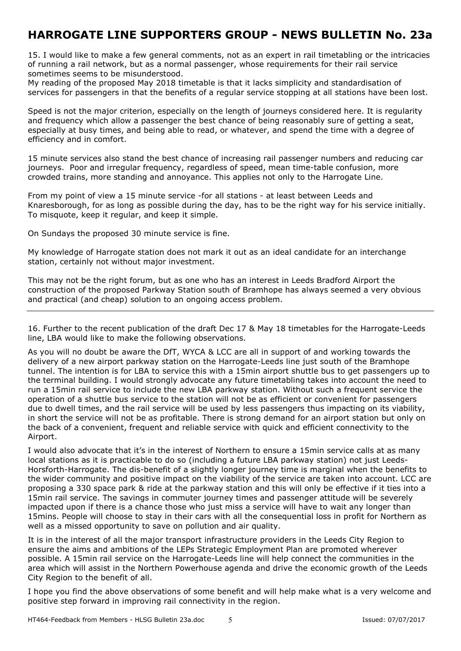15. I would like to make a few general comments, not as an expert in rail timetabling or the intricacies of running a rail network, but as a normal passenger, whose requirements for their rail service sometimes seems to be misunderstood.

My reading of the proposed May 2018 timetable is that it lacks simplicity and standardisation of services for passengers in that the benefits of a regular service stopping at all stations have been lost.

Speed is not the major criterion, especially on the length of journeys considered here. It is regularity and frequency which allow a passenger the best chance of being reasonably sure of getting a seat, especially at busy times, and being able to read, or whatever, and spend the time with a degree of efficiency and in comfort.

15 minute services also stand the best chance of increasing rail passenger numbers and reducing car journeys. Poor and irregular frequency, regardless of speed, mean time-table confusion, more crowded trains, more standing and annoyance. This applies not only to the Harrogate Line.

From my point of view a 15 minute service -for all stations - at least between Leeds and Knaresborough, for as long as possible during the day, has to be the right way for his service initially. To misquote, keep it regular, and keep it simple.

On Sundays the proposed 30 minute service is fine.

My knowledge of Harrogate station does not mark it out as an ideal candidate for an interchange station, certainly not without major investment.

This may not be the right forum, but as one who has an interest in Leeds Bradford Airport the construction of the proposed Parkway Station south of Bramhope has always seemed a very obvious and practical (and cheap) solution to an ongoing access problem.

16. Further to the recent publication of the draft Dec 17 & May 18 timetables for the Harrogate-Leeds line, LBA would like to make the following observations.

As you will no doubt be aware the DfT, WYCA & LCC are all in support of and working towards the delivery of a new airport parkway station on the Harrogate-Leeds line just south of the Bramhope tunnel. The intention is for LBA to service this with a 15min airport shuttle bus to get passengers up to the terminal building. I would strongly advocate any future timetabling takes into account the need to run a 15min rail service to include the new LBA parkway station. Without such a frequent service the operation of a shuttle bus service to the station will not be as efficient or convenient for passengers due to dwell times, and the rail service will be used by less passengers thus impacting on its viability, in short the service will not be as profitable. There is strong demand for an airport station but only on the back of a convenient, frequent and reliable service with quick and efficient connectivity to the Airport.

I would also advocate that it's in the interest of Northern to ensure a 15min service calls at as many local stations as it is practicable to do so (including a future LBA parkway station) not just Leeds-Horsforth-Harrogate. The dis-benefit of a slightly longer journey time is marginal when the benefits to the wider community and positive impact on the viability of the service are taken into account. LCC are proposing a 330 space park & ride at the parkway station and this will only be effective if it ties into a 15min rail service. The savings in commuter journey times and passenger attitude will be severely impacted upon if there is a chance those who just miss a service will have to wait any longer than 15mins. People will choose to stay in their cars with all the consequential loss in profit for Northern as well as a missed opportunity to save on pollution and air quality.

It is in the interest of all the major transport infrastructure providers in the Leeds City Region to ensure the aims and ambitions of the LEPs Strategic Employment Plan are promoted wherever possible. A 15min rail service on the Harrogate-Leeds line will help connect the communities in the area which will assist in the Northern Powerhouse agenda and drive the economic growth of the Leeds City Region to the benefit of all.

I hope you find the above observations of some benefit and will help make what is a very welcome and positive step forward in improving rail connectivity in the region.